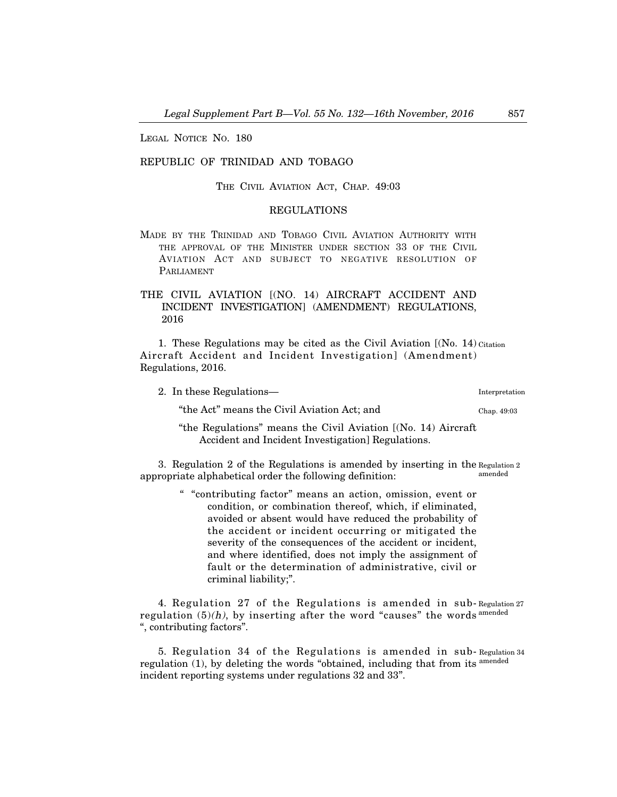LEGAL NOTICE NO. 180

## REPUBLIC OF TRINIDAD AND TOBAGO

THE CIVIL AVIATION ACT, CHAP. 49:03

## REGULATIONS

MADE BY THE TRINIDAD AND TOBAGO CIVIL AVIATION AUTHORITY WITH THE APPROVAL OF THE MINISTER UNDER SECTION 33 OF THE CIVIL AVIATION ACT AND SUBJECT TO NEGATIVE RESOLUTION OF PARLIAMENT

## THE CIVIL AVIATION [(NO. 14) AIRCRAFT ACCIDENT AND INCIDENT INVESTIGATION] (AMENDMENT) REGULATIONS, 2016

1. These Regulations may be cited as the Civil Aviation [(No. 14) Citation Aircraft Accident and Incident Investigation] (Amendment) Regulations, 2016.

| 2. In these Regulations—                                      | Interpretation |
|---------------------------------------------------------------|----------------|
| "the Act" means the Civil Aviation Act; and                   | Chap. 49:03    |
| "the Regulations" means the Civil Aviation [(No. 14) Aircraft |                |
| Accident and Incident Investigation Regulations.              |                |

3. Regulation 2 of the Regulations is amended by inserting in the Regulation 2 appropriate alphabetical order the following definition: amended

> " "contributing factor" means an action, omission, event or condition, or combination thereof, which, if eliminated, avoided or absent would have reduced the probability of the accident or incident occurring or mitigated the severity of the consequences of the accident or incident, and where identified, does not imply the assignment of fault or the determination of administrative, civil or criminal liability;".

4. Regulation 27 of the Regulations is amended in sub-Regulation 27 regulation (5)(h), by inserting after the word "causes" the words <sup>amended</sup> ", contributing factors".

5. Regulation 34 of the Regulations is amended in sub-Regulation 34 regulation (1), by deleting the words "obtained, including that from its <sup>amended</sup> incident reporting systems under regulations 32 and 33".